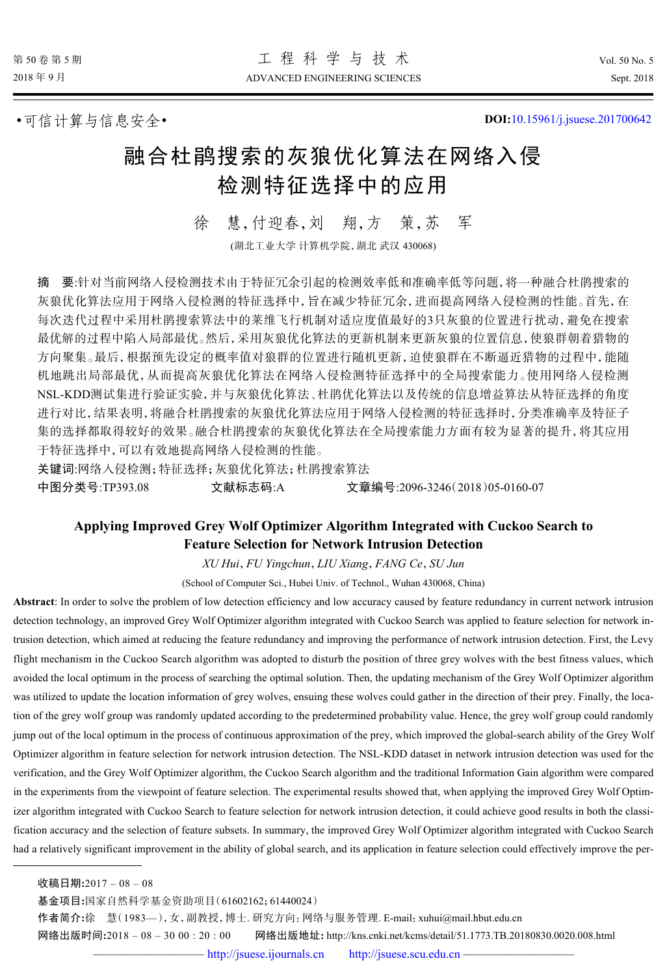•可信计算与信息安全• **DOI:**[10.15961/j.jsuese.201700642](http://dx.doi.org/10.15961/j.jsuese.201700642)

# 融合杜鹃搜索的灰狼优化算法在网络入侵 检测特征选择中的应用

徐 慧,付迎春,刘 翔,方 策,苏 军

(湖北工业大学 计算机学院,湖北 武汉 430068)

摘 要:针对当前网络入侵检测技术由于特征冗余引起的检测效率低和准确率低等问题,将一种融合杜鹃搜索的 灰狼优化算法应用于网络入侵检测的特征选择中,旨在减少特征冗余,进而提高网络入侵检测的性能。首先,在 每次迭代过程中采用杜鹃搜索算法中的莱维飞行机制对适应度值最好的3只灰狼的位置进行扰动,避免在搜索 最优解的过程中陷入局部最优。然后,采用灰狼优化算法的更新机制来更新灰狼的位置信息,使狼群朝着猎物的 方向聚集。最后,根据预先设定的概率值对狼群的位置进行随机更新,迫使狼群在不断逼近猎物的过程中,能随 机地跳出局部最优,从而提高灰狼优化算法在网络入侵检测特征选择中的全局搜索能力。使用网络入侵检测 NSL-KDD测试集进行验证实验,并与灰狼优化算法、杜鹃优化算法以及传统的信息增益算法从特征选择的角度 进行对比,结果表明,将融合杜鹃搜索的灰狼优化算法应用于网络入侵检测的特征选择时,分类准确率及特征子 集的选择都取得较好的效果。融合杜鹃搜索的灰狼优化算法在全局搜索能力方面有较为显著的提升,将其应用 于特征选择中,可以有效地提高网络入侵检测的性能。

关键词:网络入侵检测;特征选择;灰狼优化算法;杜鹃搜索算法

中图分类号:TP393.08 文献标志码:A 文章编号:2096-3246(2018)05-0160-07

# **Applying Improved Grey Wolf Optimizer Algorithm Integrated with Cuckoo Search to Feature Selection for Network Intrusion Detection**

*XU Hui*,*FU Yingchun*,*LIU Xiang*,*FANG Ce*,*SU Jun*

(School of Computer Sci., Hubei Univ. of Technol., Wuhan 430068, China)

**Abstract**: In order to solve the problem of low detection efficiency and low accuracy caused by feature redundancy in current network intrusion detection technology, an improved Grey Wolf Optimizer algorithm integrated with Cuckoo Search was applied to feature selection for network intrusion detection, which aimed at reducing the feature redundancy and improving the performance of network intrusion detection. First, the Levy flight mechanism in the Cuckoo Search algorithm was adopted to disturb the position of three grey wolves with the best fitness values, which avoided the local optimum in the process of searching the optimal solution. Then, the updating mechanism of the Grey Wolf Optimizer algorithm was utilized to update the location information of grey wolves, ensuing these wolves could gather in the direction of their prey. Finally, the location of the grey wolf group was randomly updated according to the predetermined probability value. Hence, the grey wolf group could randomly jump out of the local optimum in the process of continuous approximation of the prey, which improved the global-search ability of the Grey Wolf Optimizer algorithm in feature selection for network intrusion detection. The NSL-KDD dataset in network intrusion detection was used for the verification, and the Grey Wolf Optimizer algorithm, the Cuckoo Search algorithm and the traditional Information Gain algorithm were compared in the experiments from the viewpoint of feature selection. The experimental results showed that, when applying the improved Grey Wolf Optimizer algorithm integrated with Cuckoo Search to feature selection for network intrusion detection, it could achieve good results in both the classification accuracy and the selection of feature subsets. In summary, the improved Grey Wolf Optimizer algorithm integrated with Cuckoo Search had a relatively significant improvement in the ability of global search, and its application in feature selection could effectively improve the per-

作者简介**:**徐 慧(1983—),女,副教授,博士. 研究方向:网络与服务管理. E-mail:xuhui@mail.hbut.edu.cn

网络出版时间**:**2018 – 08 – 30 00 : 20 : 00 网络出版地址**:** http://kns.cnki.net/kcms/detail/51.1773.TB.20180830.0020.008.html

收稿日期**:**2017 – 08 – 08

基金项目**:**国家自然科学基金资助项目(61602162;61440024)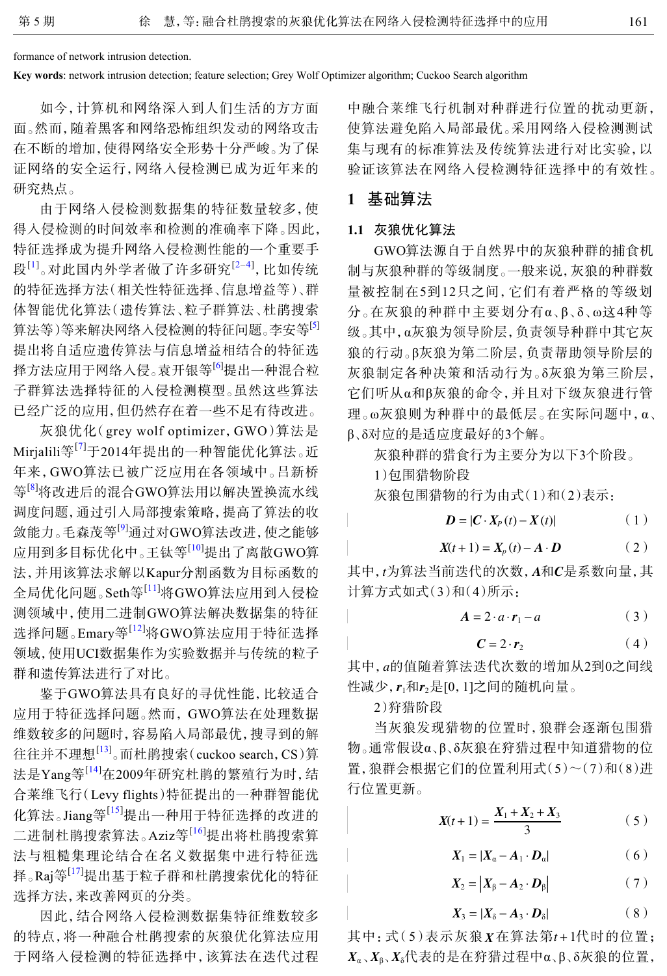formance of network intrusion detection.

**Key words**: network intrusion detection; feature selection; Grey Wolf Optimizer algorithm; Cuckoo Search algorithm

如今,计算机和网络深入到人们生活的方方面 面。然而,随着黑客和网络恐怖组织发动的网络攻击 在不断的增加,使得网络安全形势十分严峻。为了保 证网络的安全运行,网络入侵检测已成为近年来的 研究热点。

由于网络入侵检测数据集的特征数量较多,使 得入侵检测的时间效率和检测的准确率下降。因此, 特征选择成为提升网络入侵检测性能的一个重要手 段<sup>[[1](#page-5-0)]</sup>。对此国内外学者做了许多研究<sup>[2-[4\]](#page-5-2)</sup>, 比如传统 的特征选择方法(相关性特征选择、信息增益等)、群 体智能优化算法(遗传算法、粒子群算法、杜鹃搜索 算法等)等来解决网络入侵检测的特征问题。李安等[\[5](#page-5-3)] 提出将自适应遗传算法与信息增益相结合的特征选 择方法应用于网络入侵。袁开银等[\[6\]](#page-5-4)提出一种混合粒 子群算法选择特征的入侵检测模型。虽然这些算法 已经广泛的应用,但仍然存在着一些不足有待改进。

灰狼优化(grey wolf optimizer,GWO)算法是 Mirjalili等<sup>[[7](#page-5-5)]</sup>于2014年提出的一种智能优化算法。近 年来,GWO算法已被广泛应用在各领域中。吕新桥 等<sup>[[8](#page-5-6)]</sup>将改进后的混合GWO算法用以解决置换流水线 调度问题,通过引入局部搜索策略,提高了算法的收 敛能力。毛森茂等<sup>[[9](#page-5-7)]</sup>通过对GWO算法改进,使之能够 应用到多目标优化中。王钛等[[10](#page-6-0)]提出了离散GWO算 法,并用该算法求解以Kapur分割函数为目标函数的 全局优化问题。Seth等[[11](#page-6-1)]将GWO算法应用到入侵检 测领域中,使用二进制GWO算法解决数据集的特征 选择问题。Emary等[[12](#page-6-2)]将GWO算法应用于特征选择 领域,使用UCI数据集作为实验数据并与传统的粒子 群和遗传算法进行了对比。

鉴于GWO算法具有良好的寻优性能,比较适合 应用于特征选择问题。然而, GWO算法在处理数据 维数较多的问题时,容易陷入局部最优,搜寻到的解 往往并不理想<sup>[[13\]](#page-6-3)</sup>。而杜鹃搜索(cuckoo search, CS)算 法是Yang等<sup>[[14](#page-6-4)]</sup>在2009年研究杜鹃的繁殖行为时,结 合莱维飞行(Levy flights)特征提出的一种群智能优 化算法。Jiang等[[15](#page-6-5)]提出一种用于特征选择的改进的 二进制杜鹃搜索算法。Aziz等<sup>[[16](#page-6-6)]</sup>提出将杜鹃搜索算 法与粗糙集理论结合在名义数据集中进行特征选 择。Raj等<sup>[\[17\]](#page-6-7)</sup>提出基于粒子群和杜鹃搜索优化的特征 选择方法,来改善网页的分类。

因此,结合网络入侵检测数据集特征维数较多 的特点,将一种融合杜鹃搜索的灰狼优化算法应用 于网络入侵检测的特征选择中,该算法在迭代过程 中融合莱维飞行机制对种群进行位置的扰动更新, 使算法避免陷入局部最优。采用网络入侵检测测试 集与现有的标准算法及传统算法进行对比实验,以 验证该算法在网络入侵检测特征选择中的有效性。

# **1** 基础算法

#### **1.1** 灰狼优化算法

GWO算法源自于自然界中的灰狼种群的捕食机 制与灰狼种群的等级制度。一般来说,灰狼的种群数 量被控制在5到12只之间,它们有着严格的等级划 分。在灰狼的种群中主要划分有α、β、δ、ω这4种等 级。其中,α灰狼为领导阶层,负责领导种群中其它灰 狼的行动。β灰狼为第二阶层,负责帮助领导阶层的 灰狼制定各种决策和活动行为。δ灰狼为第三阶层, 它们听从α和β灰狼的命令,并且对下级灰狼进行管 理。ω灰狼则为种群中的最低层。在实际问题中,α、 β、δ对应的是适应度最好的3个解。

灰狼种群的猎食行为主要分为以下3个阶段。

1)包围猎物阶段

灰狼包围猎物的行为由式(1)和(2)表示:

$$
D = |C \cdot X_P(t) - X(t)| \tag{1}
$$

$$
X(t+1) = X_p(t) - A \cdot D \tag{2}
$$

其中,*t*为算法当前迭代的次数,*A*和C是系数向量,其 计算方式如式(3)和(4)所示:

$$
A = 2 \cdot a \cdot r_1 - a \tag{3}
$$

$$
C = 2 \cdot r_2 \tag{4}
$$

其中<sub>,a</sub>的值随着算法迭代次数的增加从2到0之间线 性减少, **r**<sub>1</sub>和**r**<sub>2</sub>是[0, 1]之间的随机向量。

2)狩猎阶段

当灰狼发现猎物的位置时,狼群会逐渐包围猎 物。通常假设α、β、δ灰狼在狩猎过程中知道猎物的位 置,狼群会根据它们的位置利用式(5)~(7)和(8)进 行位置更新。

$$
X(t+1) = \frac{X_1 + X_2 + X_3}{3} \tag{5}
$$

$$
X_1 = |X_a - A_1 \cdot D_a| \tag{6}
$$

$$
X_2 = |X_\beta - A_2 \cdot D_\beta| \tag{7}
$$

$$
X_3 = |X_\delta - A_3 \cdot D_\delta| \tag{8}
$$

其中: 式(5)表示灰狼 X在算法第t + 1代时的位置;  $X_\alpha$ 、 $X_\beta$ 、 $X_\delta$ 代表的是在狩猎过程中α、β、δ灰狼的位置,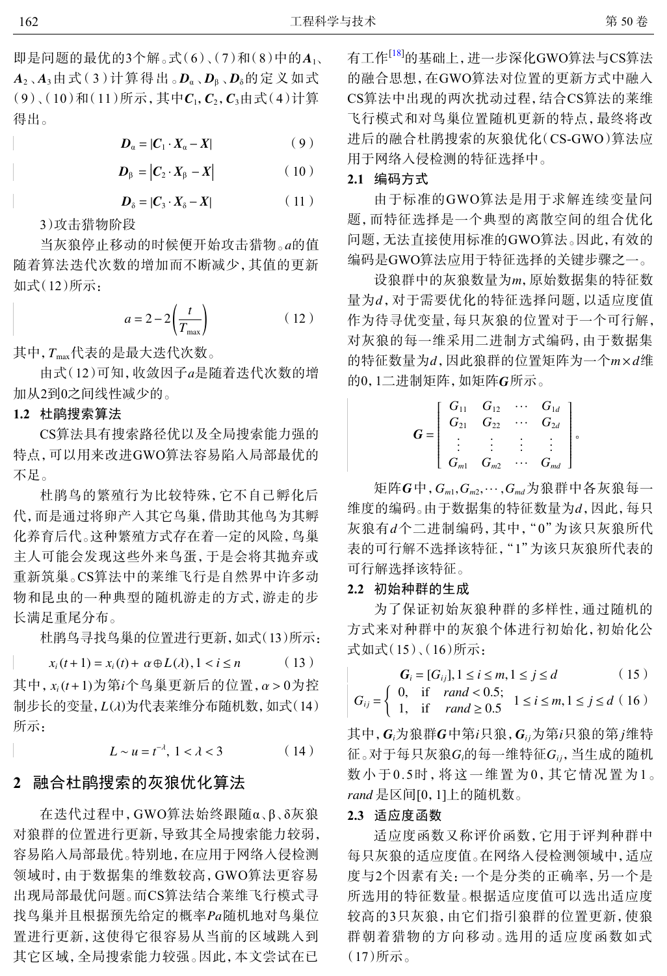即是问题的最优的3个解。式(6)、(7)和(8)中的A<sub>1</sub>、 *A***<sub>2</sub> 、A**<sub>3</sub>由式(3)计算得出。 D<sub>α</sub>、D<sub>β</sub>、D<sub>δ</sub>的定义如式  $(9)$  (10)和(11)所示,其中 $C_1, C_2, C_3$ 由式(4)计算 得出。

$$
D_{\alpha} = |C_1 \cdot X_{\alpha} - X| \tag{9}
$$

$$
\boldsymbol{D}_{\beta} = |\boldsymbol{C}_{2} \cdot \boldsymbol{X}_{\beta} - \boldsymbol{X}| \tag{10}
$$

$$
D_{\delta} = |C_3 \cdot X_{\delta} - X| \tag{11}
$$

3)攻击猎物阶段

当灰狼停止移动的时候便开始攻击猎物。*a*的值 随着算法迭代次数的增加而不断减少,其值的更新 如式(12)所示:

$$
a = 2 - 2\left(\frac{t}{T_{\text{max}}}\right) \tag{12}
$$

其中, *T*max代表的是最大迭代次数。

由式(12)可知,收敛因子*a*是随着迭代次数的增 加从2到0之间线性减少的。

**1.2** 杜鹃搜索算法

CS算法具有搜索路径优以及全局搜索能力强的 特点,可以用来改进GWO算法容易陷入局部最优的 不足。

杜鹃鸟的繁殖行为比较特殊,它不自己孵化后 代,而是通过将卵产入其它鸟巢,借助其他鸟为其孵 化养育后代。这种繁殖方式存在着一定的风险,鸟巢 主人可能会发现这些外来鸟蛋,于是会将其抛弃或 重新筑巢。CS算法中的莱维飞行是自然界中许多动 物和昆虫的一种典型的随机游走的方式,游走的步 长满足重尾分布。

杜鹃鸟寻找鸟巢的位置进行更新,如式(13)所示:

$$
x_i(t+1) = x_i(t) + \alpha \oplus L(\lambda), 1 < i \le n \tag{13}
$$

其中, *x*<sub>i</sub>(*t* + 1)为第*i*个鸟巢更新后的位置, α > 0为控 制步长的变量,*L*(*λ*)为代表莱维分布随机数,如式(14) 所示:

 $L \sim u = t^{-\lambda}, \ 1 < \lambda < 3$  (14)

#### **2** 融合杜鹃搜索的灰狼优化算法

找鸟巢并且根据预先给定的概率Pa随机地对鸟巢位 在迭代过程中,GWO算法始终跟随α、β、δ灰狼 对狼群的位置进行更新,导致其全局搜索能力较弱, 容易陷入局部最优。特别地,在应用于网络入侵检测 领域时,由于数据集的维数较高,GWO算法更容易 出现局部最优问题。而CS算法结合莱维飞行模式寻 置进行更新,这使得它很容易从当前的区域跳入到 其它区域,全局搜索能力较强。因此,本文尝试在已

有工作<sup>[[18\]](#page-6-8)</sup>的基础上,进一步深化GWO算法与CS算法 的融合思想,在GWO算法对位置的更新方式中融入 CS算法中出现的两次扰动过程,结合CS算法的莱维 飞行模式和对鸟巢位置随机更新的特点,最终将改 进后的融合杜鹃搜索的灰狼优化(CS-GWO)算法应 用于网络入侵检测的特征选择中。

#### **2.1** 编码方式

由于标准的GWO算法是用于求解连续变量问 题,而特征选择是一个典型的离散空间的组合优化 问题,无法直接使用标准的GWO算法。因此,有效的 编码是GWO算法应用于特征选择的关键步骤之一。

设狼群中的灰狼数量为m, 原始数据集的特征数 量为d,对于需要优化的特征选择问题,以适应度值 的特征数量为d,因此狼群的位置矩阵为一个m×d维 的0,1二进制矩阵,如矩阵G所示。 作为待寻优变量,每只灰狼的位置对于一个可行解, 对灰狼的每一维采用二进制方式编码,由于数据集

$$
G = \left[ \begin{array}{cccc} G_{11} & G_{12} & \cdots & G_{1d} \\ G_{21} & G_{22} & \cdots & G_{2d} \\ \vdots & \vdots & \vdots & \vdots \\ G_{m1} & G_{m2} & \cdots & G_{md} \end{array} \right],
$$

矩阵 $G$ 中, $G_{m1}, G_{m2}, \cdots, G_{md}$ 为狼群中各灰狼每一 维度的编码。由于数据集的特征数量为d,因此,每只 灰狼有d个二进制编码,其中,"0"为该只灰狼所代 表的可行解不选择该特征,"1"为该只灰狼所代表的 可行解选择该特征。

#### **2.2** 初始种群的生成

为了保证初始灰狼种群的多样性,通过随机的 方式来对种群中的灰狼个体进行初始化,初始化公 式如式(15)、(16)所示:

$$
G_i = [G_{ij}], 1 \le i \le m, 1 \le j \le d \tag{15}
$$

$$
G_{ij} = \begin{cases} 0, & \text{if } rand < 0.5; \\ 1, & \text{if } rand \ge 0.5 \end{cases} \quad 1 \le i \le m, 1 \le j \le d \ (16)
$$

其中,  $G_i$ 为狼群 $G$ 中第 $i$ 只狼,  $G_{ij}$ 为第 $i$ 只狼的第 $j$ 维特  $\overline{a}$  ,对于每只灰狼 $G_i$ 的每一维特征 $G_{ij}$ , 当生成的随机 *rand* 是区间[0,1]上的随机数。 数小于0.5时,将这一维置为0,其它情况置为1。

#### **2.3** 适应度函数

适应度函数又称评价函数,它用于评判种群中 每只灰狼的适应度值。在网络入侵检测领域中,适应 度与2个因素有关:一个是分类的正确率,另一个是 所选用的特征数量。根据适应度值可以选出适应度 较高的3只灰狼,由它们指引狼群的位置更新,使狼 群朝着猎物的方向移动。选用的适应度函数如式 (17)所示。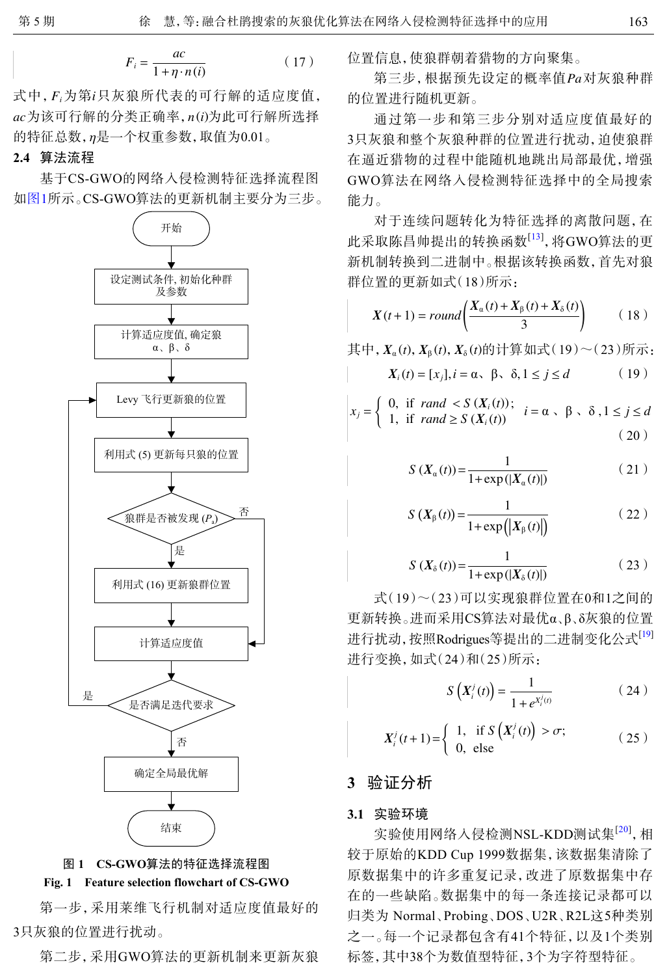$$
F_i = \frac{ac}{1 + \eta \cdot n(i)}\tag{17}
$$

式中, *F*;为第*i*只灰狼所代表的可行解的适应度值, *ac* 为该可行解的分类正确率, *n*(*i*)为此可行解所选择 的特征总数,η是一个权重参数,取值为0.01。

#### **2.4** 算法流程

<span id="page-3-0"></span>基于CS-GWO的网络入侵检测特征选择流程图 如[图](#page-3-0)[1](#page-3-0)所示。CS-GWO算法的更新机制主要分为三步。



# **Fig. 1 Feature selection flowchart of CS-GWO**

第一步,采用莱维飞行机制对适应度值最好的 3只灰狼的位置进行扰动。

第二步,采用GWO算法的更新机制来更新灰狼

位置信息,使狼群朝着猎物的方向聚集。

第三步,根据预先设定的概率值 *Pa* 对灰狼种群 的位置进行随机更新。

通过第一步和第三步分别对适应度值最好的 3只灰狼和整个灰狼种群的位置进行扰动,迫使狼群 在逼近猎物的过程中能随机地跳出局部最优,增强 GWO算法在网络入侵检测特征选择中的全局搜索 能力。

对于连续问题转化为特征选择的离散问题,在 此采取陈昌帅提出的转换函数<sup>[[13\]](#page-6-3)</sup>,将GWO算法的更 新机制转换到二进制中。根据该转换函数,首先对狼 群位置的更新如式(18)所示:

$$
X(t+1) = round\left(\frac{X_{\alpha}(t) + X_{\beta}(t) + X_{\delta}(t)}{3}\right) \tag{18}
$$

其中,  $X_α(t)$ ,  $X_β(t)$ ,  $X_δ(t)$ 的计算如式(19)~(23)所示:

$$
X_i(t) = [x_j], i = \alpha, \ \beta, \ \delta, 1 \le j \le d \tag{19}
$$

$$
x_j = \begin{cases} 0, & \text{if } rand < S(X_i(t)); \\ 1, & \text{if } rand \ge S(X_i(t)) \end{cases} \quad i = \alpha \,, \ \beta \,, \ \delta \,, 1 \le j \le d \tag{20}
$$

$$
S(X_{\alpha}(t)) = \frac{1}{1 + \exp(|X_{\alpha}(t)|)}\tag{21}
$$

$$
S\left(X_{\beta}(t)\right) = \frac{1}{1 + \exp\left(\left|X_{\beta}(t)\right|\right)}\tag{22}
$$

$$
S\left(X_{\delta}(t)\right) = \frac{1}{1 + \exp\left(|X_{\delta}(t)|\right)}\tag{23}
$$

式(19)~(23)可以实现狼群位置在0和1之间的 更新转换。进而采用CS算法对最优α、β、δ灰狼的位置 进行扰动, 按照Rodrigues等提出的二进制变化公式[[19\]](#page-6-9) 进行变换,如式(24)和(25)所示:

$$
S\left(X_i^j(t)\right) = \frac{1}{1 + e^{X_i^j(t)}}
$$
\n(24)

$$
X_i^j(t+1) = \begin{cases} 1, & \text{if } S\left(X_i^j(t)\right) > \sigma; \\ 0, & \text{else} \end{cases} \tag{25}
$$

# **3** 验证分析

#### **3.1** 实验环境

实验使用网络入侵检测NSL-KDD测试集<sup>[\[20\]](#page-6-10)</sup>,相 较于原始的KDD Cup 1999数据集,该数据集清除了 原数据集中的许多重复记录,改进了原数据集中存 在的一些缺陷。数据集中的每一条连接记录都可以 归类为 Normal、Probing、DOS、U2R、R2L这5种类别 之一。每一个记录都包含有41个特征,以及1个类别 标签,其中38个为数值型特征,3个为字符型特征。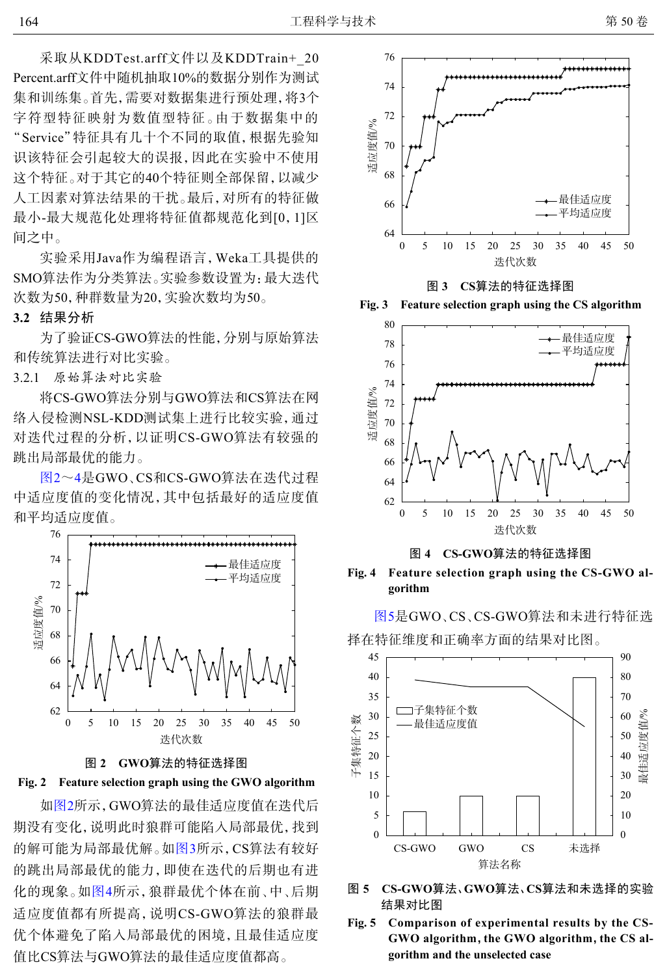采取从KDDTest.arff文件以及KDDTrain+\_20 Percent.arff文件中随机抽取10%的数据分别作为测试 集和训练集。首先,需要对数据集进行预处理,将3个 字符型特征映射为数值型特征。由于数据集中的 "Service"特征具有几十个不同的取值,根据先验知 识该特征会引起较大的误报,因此在实验中不使用 这个特征。对于其它的40个特征则全部保留,以减少 人工因素对算法结果的干扰。最后,对所有的特征做 最小-最大规范化处理将特征值都规范化到[0,1]区 间之中。

实验采用Java作为编程语言,Weka工具提供的 SMO算法作为分类算法。实验参数设置为:最大迭代 次数为50,种群数量为20,实验次数均为50。

#### **3.2** 结果分析

为了验证CS-GWO算法的性能,分别与原始算法 和传统算法进行对比实验。

3.2.1 原始算法对比实验

将CS-GWO算法分别与GWO算法和CS算法在网 络入侵检测NSL-KDD测试集上进行比较实验,通过 对迭代过程的分析,以证明CS-GWO算法有较强的 跳出局部最优的能力。

[图](#page-4-0)[2](#page-4-0)~[4](#page-4-1)是GWO、CS和CS-GWO算法在迭代过程 中适应度值的变化情况,其中包括最好的适应度值 和平均适应度值。

<span id="page-4-0"></span>

图 **2 GWO**算法的特征选择图



如[图](#page-4-0)[2](#page-4-0)所示,GWO算法的最佳适应度值在迭代后 期没有变化,说明此时狼群可能陷入局部最优,找到 的解可能为局部最优解。如[图](#page-4-2)[3](#page-4-2)所示,CS算法有较好 的跳出局部[最优](#page-4-1)的能力,即使在迭代的后期也有进 化的现象。如[图](#page-4-1)[4](#page-4-1)所示,狼群最优个体在前、中、后期 适应度值都有所提高,说明CS-GWO算法的狼群最 优个体避免了陷入局部最优的困境,且最佳适应度 值比CS算法与GWO算法的最佳适应度值都高。

<span id="page-4-2"></span>

图 **3 CS**算法的特征选择图

<span id="page-4-1"></span>



图 **4 CS-GWO**算法的特征选择图

**Fig. 4 Feature selection graph using the CS-GWO algorithm**

[图](#page-4-3)[5](#page-4-3)是GWO、CS、CS-GWO算法和未进行特征选 择在特征维度和正确率方面的结果对比图。

<span id="page-4-3"></span>

- 图 **5 CS-GWO**算法、**GWO**算法、**CS**算法和未选择的实验 结果对比图
- **Fig. 5 Comparison of experimental results by the CS-GWO algorithm**,**the GWO algorithm**,**the CS algorithm and the unselected case**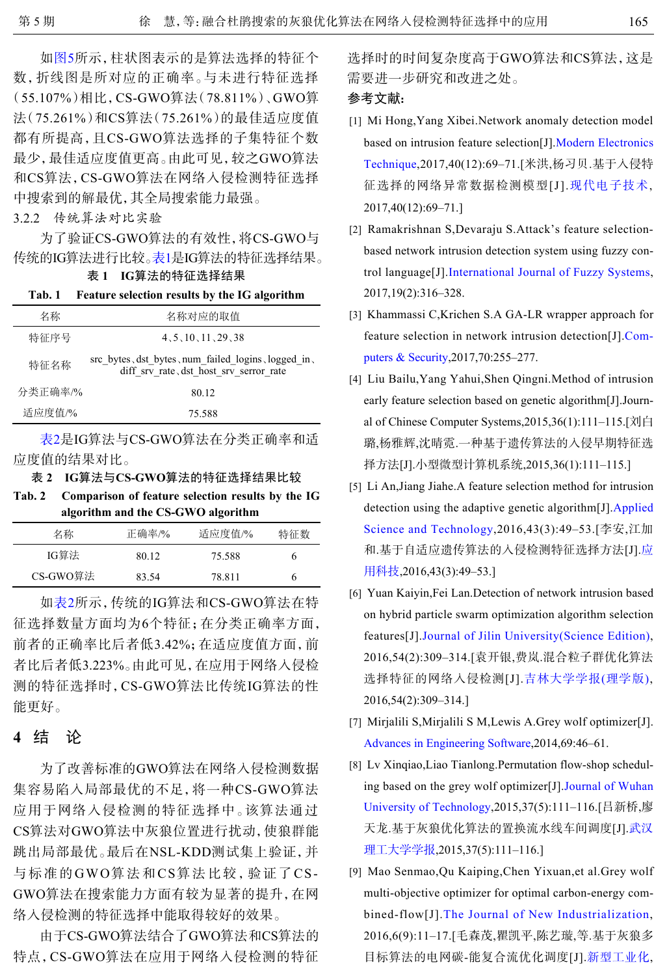如[图](#page-4-3)[5](#page-4-3)所示,柱状图表示的是算法选择的特征个 数,折线图是所对应的正确率。与未进行特征选择 (55.107%)相比,CS-GWO算法(78.811%)、GWO算 法(75.261%)和CS算法(75.261%)的最佳适应度值 都有所提高,且CS-GWO算法选择的子集特征个数 最少,最佳适应度值更高。由此可见,较之GWO算法 和CS算法,CS-GWO算法在网络入侵检测特征选择 中搜索到的解最优,其全局搜索能力最强。

3.2.2 传统算法对比实验

为了验证CS-GWO算法的有效性,将CS-GWO与 传统的IG算法进行比较。表1是IG算法的特征选择结果。

表 **1 IG**算法的特征选择结果

| Tab. 1  | <b>Feature selection results by the IG algorithm</b>                                           |
|---------|------------------------------------------------------------------------------------------------|
| 名称      | 名称对应的取值                                                                                        |
| 特征序号    | 4, 5, 10, 11, 29, 38                                                                           |
| 特征名称    | src bytes, dst bytes, num failed logins, logged in,<br>diff srv rate, dst host srv serror rate |
| 分类正确率/% | 80.12                                                                                          |
| 适应度值/%  | 75.588                                                                                         |
|         |                                                                                                |

表2是IG算法与CS-GWO算法在分类正确率和适 应度值的结果对比。

表 **2 IG**算法与**CS-GWO**算法的特征选择结果比较

**Tab. 2 Comparison of feature selection results by the IG algorithm and the CS-GWO algorithm**

| 名称       | 正确率/% | 适应度值/% | 特征数 |
|----------|-------|--------|-----|
| IG算法     | 80.12 | 75.588 | h   |
| CS-GWO算法 | 83.54 | 78.811 | h   |

如表2所示,传统的IG算法和CS-GWO算法在特 征选择数量方面均为6个特征;在分类正确率方面, 前者的正确率比后者低3.42%;在适应度值方面,前 者比后者低3.223%。由此可见,在应用于网络入侵检 测的特征选择时,CS-GWO算法比传统IG算法的性 能更好。

# **4** 结 论

为了改善标准的GWO算法在网络入侵检测数据 集容易陷入局部最优的不足,将一种CS-GWO算法 应用于网络入侵检测的特征选择中。该算法通过 CS算法对GWO算法中灰狼位置进行扰动,使狼群能 跳出局部最优。最后在NSL-KDD测试集上验证,并 与标准的GWO算法和CS算法比较,验证了CS-GWO算法在搜索能力方面有较为显著的提升,在网 络入侵检测的特征选择中能取得较好的效果。

由于CS-GWO算法结合了GWO算法和CS算法的 特点,CS-GWO算法在应用于网络入侵检测的特征 选择时的时间复杂度高于GWO算法和CS算法,这是 需要进一步研究和改进之处。

### 参考文献:

- <span id="page-5-0"></span>Mi Hong,Yang Xibei.Network anomaly detection model [1] based on intrusion feature selection[J][.Modern Electronics](http://dx.doi.org/10.16652/j.issn.1004-373x.2017.12.019) [Technique](http://dx.doi.org/10.16652/j.issn.1004-373x.2017.12.019),2017,40(12):69–71.[米洪,杨习贝.基于入侵特 征选择的网络异常数据检测模型[J].[现代电子技术](http://dx.doi.org/10.16652/j.issn.1004-373x.2017.12.019), 2017,40(12):69–71.]
- <span id="page-5-1"></span>Ramakrishnan S,Devaraju S.Attack's feature selection-[2] based network intrusion detection system using fuzzy control language[J][.International Journal of Fuzzy Systems](http://dx.doi.org/10.1007/s40815-016-0160-6), 2017,19(2):316–328.
- [3] Khammassi C,Krichen S.A GA-LR wrapper approach for feature selection in network intrusion detection[J].[Com](http://dx.doi.org/10.1016/j.cose.2017.06.005)[puters & Security](http://dx.doi.org/10.1016/j.cose.2017.06.005),2017,70:255–277.
- <span id="page-5-2"></span>Liu Bailu,Yang Yahui,Shen Qingni.Method of intrusion [4] early feature selection based on genetic algorithm[J].Journal of Chinese Computer Systems,2015,36(1):111–115.[刘白 璐,杨雅辉,沈晴霓.一种基于遗传算法的入侵早期特征选 择方法[J].小型微型计算机系统,2015,36(1):111–115.]
- <span id="page-5-3"></span>[5] Li An,Jiang Jiahe.A feature selection method for intrusion detection using the adaptive genetic algorithm[J][.Applied](http://dx.doi.org/10.11991/yykj.201508017) [Science and Technology](http://dx.doi.org/10.11991/yykj.201508017),2016,43(3):49–53.[李安,江加 和.基于自适应遗传算法的入侵检测特征选择方法[J].[应](http://dx.doi.org/10.11991/yykj.201508017) [用科技](http://dx.doi.org/10.11991/yykj.201508017),2016,43(3):49–53.]
- <span id="page-5-4"></span>[6] Yuan Kaiyin, Fei Lan. Detection of network intrusion based on hybrid p[article swarm optimization algorithm selection](http://dx.doi.org/10.13413/j.cnki.jdxblxb.2016.02.28) features[J].[Journal of Jilin University\(Science Edition\)](http://dx.doi.org/10.13413/j.cnki.jdxblxb.2016.02.28), 2016,54(2):309–314.[袁开银,费岚.[混合粒子群优化算法](http://dx.doi.org/10.13413/j.cnki.jdxblxb.2016.02.28) 选择特征的网络入侵检测[J].[吉林大学学报](http://dx.doi.org/10.13413/j.cnki.jdxblxb.2016.02.28)[\(](http://dx.doi.org/10.13413/j.cnki.jdxblxb.2016.02.28)[理学版](http://dx.doi.org/10.13413/j.cnki.jdxblxb.2016.02.28)[\)](http://dx.doi.org/10.13413/j.cnki.jdxblxb.2016.02.28), 2016,54(2):309–314.]
- <span id="page-5-5"></span>[Mirjalili S,Mirjalili S M,Lewis A](http://dx.doi.org/10.1016/j.advengsoft.2013.12.007).Grey wolf optimizer[J]. [7] [Advances in Engineering Software](http://dx.doi.org/10.1016/j.advengsoft.2013.12.007),2014,69:46–61.
- <span id="page-5-6"></span>[8] Lv Xinqiao, Liao Tianlong. Permutation f[low-shop schedul](http://dx.doi.org/10.3963/j.issn.1671-4431.2015.05.019)[ing based on the grey wol](http://dx.doi.org/10.3963/j.issn.1671-4431.2015.05.019)f optimizer[J].[Journal of Wuhan](http://dx.doi.org/10.3963/j.issn.1671-4431.2015.05.019) [University of Technology](http://dx.doi.org/10.3963/j.issn.1671-4431.2015.05.019),2015,37(5):111–116.[吕新桥,[廖](http://dx.doi.org/10.3963/j.issn.1671-4431.2015.05.019) 天龙.[基于灰狼](http://dx.doi.org/10.3963/j.issn.1671-4431.2015.05.019)优化算法的置换流水线车间调度[J].[武汉](http://dx.doi.org/10.3963/j.issn.1671-4431.2015.05.019) [理工大学学报](http://dx.doi.org/10.3963/j.issn.1671-4431.2015.05.019),2015,37(5):111–116.]
- <span id="page-5-7"></span>Mao Senmao,Qu Kaiping,Chen Yixuan,et al.Grey wolf [9] multi-objective [optimizer for optimal carbon-energy com](http://dx.doi.org/10.19335/j.cnki.2095-6649.2016.09.002)bined-flow[J].[The Journal of New Industrialization](http://dx.doi.org/10.19335/j.cnki.2095-6649.2016.09.002), 2016,6(9):11–17.[毛森茂,瞿凯平,陈艺璇,等.[基于灰狼多](http://dx.doi.org/10.19335/j.cnki.2095-6649.2016.09.002) 目标算法的电网碳-能复合流优化调度[J].[新型工业化](http://dx.doi.org/10.19335/j.cnki.2095-6649.2016.09.002),